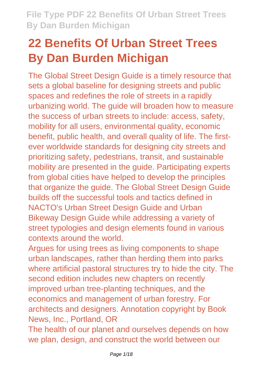# **22 Benefits Of Urban Street Trees By Dan Burden Michigan**

The Global Street Design Guide is a timely resource that sets a global baseline for designing streets and public spaces and redefines the role of streets in a rapidly urbanizing world. The guide will broaden how to measure the success of urban streets to include: access, safety, mobility for all users, environmental quality, economic benefit, public health, and overall quality of life. The firstever worldwide standards for designing city streets and prioritizing safety, pedestrians, transit, and sustainable mobility are presented in the guide. Participating experts from global cities have helped to develop the principles that organize the guide. The Global Street Design Guide builds off the successful tools and tactics defined in NACTO's Urban Street Design Guide and Urban Bikeway Design Guide while addressing a variety of street typologies and design elements found in various contexts around the world.

Argues for using trees as living components to shape urban landscapes, rather than herding them into parks where artificial pastoral structures try to hide the city. The second edition includes new chapters on recently improved urban tree-planting techniques, and the economics and management of urban forestry. For architects and designers. Annotation copyright by Book News, Inc., Portland, OR

The health of our planet and ourselves depends on how we plan, design, and construct the world between our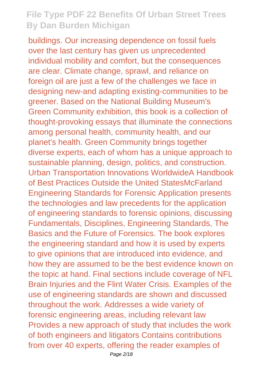buildings. Our increasing dependence on fossil fuels over the last century has given us unprecedented individual mobility and comfort, but the consequences are clear. Climate change, sprawl, and reliance on foreign oil are just a few of the challenges we face in designing new-and adapting existing-communities to be greener. Based on the National Building Museum's Green Community exhibition, this book is a collection of thought-provoking essays that illuminate the connections among personal health, community health, and our planet's health. Green Community brings together diverse experts, each of whom has a unique approach to sustainable planning, design, politics, and construction. Urban Transportation Innovations WorldwideA Handbook of Best Practices Outside the United StatesMcFarland Engineering Standards for Forensic Application presents the technologies and law precedents for the application of engineering standards to forensic opinions, discussing Fundamentals, Disciplines, Engineering Standards, The Basics and the Future of Forensics. The book explores the engineering standard and how it is used by experts to give opinions that are introduced into evidence, and how they are assumed to be the best evidence known on the topic at hand. Final sections include coverage of NFL Brain Injuries and the Flint Water Crisis. Examples of the use of engineering standards are shown and discussed throughout the work. Addresses a wide variety of forensic engineering areas, including relevant law Provides a new approach of study that includes the work of both engineers and litigators Contains contributions from over 40 experts, offering the reader examples of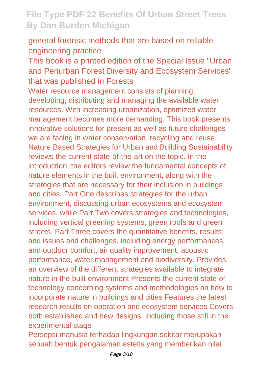#### general forensic methods that are based on reliable engineering practice

This book is a printed edition of the Special Issue "Urban and Periurban Forest Diversity and Ecosystem Services" that was published in Forests

Water resource management consists of planning, developing, distributing and managing the available water resources. With increasing urbanization, optimized water management becomes more demanding. This book presents innovative solutions for present as well as future challenges we are facing in water conservation, recycling and reuse. Nature Based Strategies for Urban and Building Sustainability reviews the current state-of-the-art on the topic. In the introduction, the editors review the fundamental concepts of nature elements in the built environment, along with the strategies that are necessary for their inclusion in buildings and cities. Part One describes strategies for the urban environment, discussing urban ecosystems and ecosystem services, while Part Two covers strategies and technologies, including vertical greening systems, green roofs and green streets. Part Three covers the quantitative benefits, results, and issues and challenges, including energy performances and outdoor comfort, air quality improvement, acoustic performance, water management and biodiversity. Provides an overview of the different strategies available to integrate nature in the built environment Presents the current state of technology concerning systems and methodologies on how to incorporate nature in buildings and cities Features the latest research results on operation and ecosystem services Covers both established and new designs, including those still in the experimental stage

Persepsi manusia terhadap lingkungan sekitar merupakan sebuah bentuk pengalaman estetis yang memberikan nilai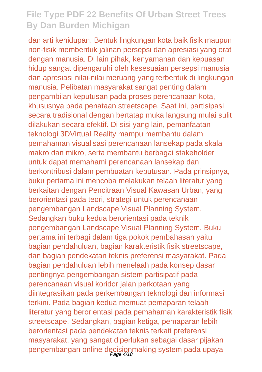dan arti kehidupan. Bentuk lingkungan kota baik fisik maupun non-fisik membentuk jalinan persepsi dan apresiasi yang erat dengan manusia. Di lain pihak, kenyamanan dan kepuasan hidup sangat dipengaruhi oleh kesesuaian persepsi manusia dan apresiasi nilai-nilai meruang yang terbentuk di lingkungan manusia. Pelibatan masyarakat sangat penting dalam pengambilan keputusan pada proses perencanaan kota, khususnya pada penataan streetscape. Saat ini, partisipasi secara tradisional dengan bertatap muka langsung mulai sulit dilakukan secara efektif. Di sisi yang lain, pemanfaatan teknologi 3DVirtual Reality mampu membantu dalam pemahaman visualisasi perencanaan lansekap pada skala makro dan mikro, serta membantu berbagai stakeholder untuk dapat memahami perencanaan lansekap dan berkontribusi dalam pembuatan keputusan. Pada prinsipnya, buku pertama ini mencoba melakukan telaah literatur yang berkaitan dengan Pencitraan Visual Kawasan Urban, yang berorientasi pada teori, strategi untuk perencanaan pengembangan Landscape Visual Planning System. Sedangkan buku kedua berorientasi pada teknik pengembangan Landscape Visual Planning System. Buku pertama ini terbagi dalam tiga pokok pembahasan yaitu bagian pendahuluan, bagian karakteristik fisik streetscape, dan bagian pendekatan teknis preferensi masyarakat. Pada bagian pendahuluan lebih menelaah pada konsep dasar pentingnya pengembangan sistem partisipatif pada perencanaan visual koridor jalan perkotaan yang diintegrasikan pada perkembangan teknologi dan informasi terkini. Pada bagian kedua memuat pemaparan telaah literatur yang berorientasi pada pemahaman karakteristik fisik streetscape. Sedangkan, bagian ketiga, pemaparan lebih berorientasi pada pendekatan teknis terkait preferensi masyarakat, yang sangat diperlukan sebagai dasar pijakan pengembangan online decisionmaking system pada upaya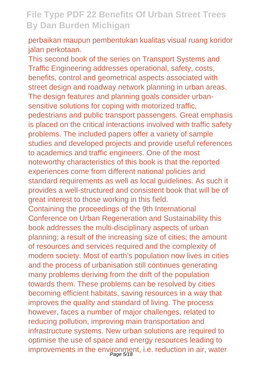perbaikan maupun pembentukan kualitas visual ruang koridor jalan perkotaan.

This second book of the series on Transport Systems and Traffic Engineering addresses operational, safety, costs, benefits, control and geometrical aspects associated with street design and roadway network planning in urban areas. The design features and planning goals consider urbansensitive solutions for coping with motorized traffic, pedestrians and public transport passengers. Great emphasis is placed on the critical interactions involved with traffic safety problems. The included papers offer a variety of sample studies and developed projects and provide useful references to academics and traffic engineers. One of the most noteworthy characteristics of this book is that the reported experiences come from different national policies and standard requirements as well as local guidelines. As such it provides a well-structured and consistent book that will be of great interest to those working in this field. Containing the proceedings of the 9th International Conference on Urban Regeneration and Sustainability this book addresses the multi-disciplinary aspects of urban planning; a result of the increasing size of cities; the amount of resources and services required and the complexity of modern society. Most of earth's population now lives in cities and the process of urbanisation still continues generating many problems deriving from the drift of the population towards them. These problems can be resolved by cities becoming efficient habitats, saving resources in a way that improves the quality and standard of living. The process however, faces a number of major challenges, related to reducing pollution, improving main transportation and infrastructure systems. New urban solutions are required to optimise the use of space and energy resources leading to improvements in the environment, i.e. reduction in air, water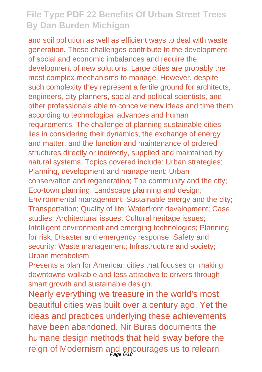and soil pollution as well as efficient ways to deal with waste generation. These challenges contribute to the development of social and economic imbalances and require the development of new solutions. Large cities are probably the most complex mechanisms to manage. However, despite such complexity they represent a fertile ground for architects, engineers, city planners, social and political scientists, and other professionals able to conceive new ideas and time them according to technological advances and human requirements. The challenge of planning sustainable cities lies in considering their dynamics, the exchange of energy and matter, and the function and maintenance of ordered structures directly or indirectly, supplied and maintained by natural systems. Topics covered include: Urban strategies; Planning, development and management; Urban conservation and regeneration; The community and the city; Eco-town planning; Landscape planning and design; Environmental management; Sustainable energy and the city; Transportation; Quality of life; Waterfront development; Case studies; Architectural issues; Cultural heritage issues; Intelligent environment and emerging technologies; Planning for risk; Disaster and emergency response; Safety and security: Waste management: Infrastructure and society: Urban metabolism.

Presents a plan for American cities that focuses on making downtowns walkable and less attractive to drivers through smart growth and sustainable design.

Nearly everything we treasure in the world's most beautiful cities was built over a century ago. Yet the ideas and practices underlying these achievements have been abandoned. Nir Buras documents the humane design methods that held sway before the reign of Modernism and encourages us to relearn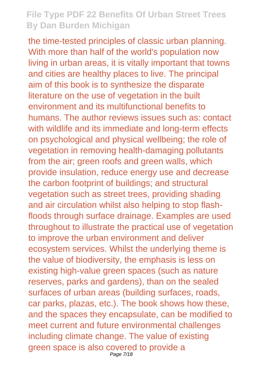the time-tested principles of classic urban planning. With more than half of the world's population now living in urban areas, it is vitally important that towns and cities are healthy places to live. The principal aim of this book is to synthesize the disparate literature on the use of vegetation in the built environment and its multifunctional benefits to humans. The author reviews issues such as: contact with wildlife and its immediate and long-term effects on psychological and physical wellbeing; the role of vegetation in removing health-damaging pollutants from the air; green roofs and green walls, which provide insulation, reduce energy use and decrease the carbon footprint of buildings; and structural vegetation such as street trees, providing shading and air circulation whilst also helping to stop flashfloods through surface drainage. Examples are used throughout to illustrate the practical use of vegetation to improve the urban environment and deliver ecosystem services. Whilst the underlying theme is the value of biodiversity, the emphasis is less on existing high-value green spaces (such as nature reserves, parks and gardens), than on the sealed surfaces of urban areas (building surfaces, roads, car parks, plazas, etc.). The book shows how these, and the spaces they encapsulate, can be modified to meet current and future environmental challenges including climate change. The value of existing green space is also covered to provide a Page 7/18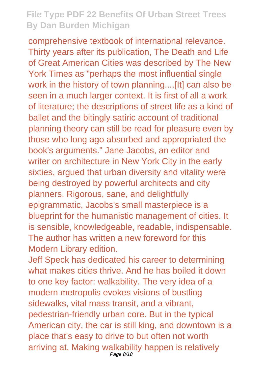comprehensive textbook of international relevance. Thirty years after its publication, The Death and Life of Great American Cities was described by The New York Times as "perhaps the most influential single work in the history of town planning....[It] can also be seen in a much larger context. It is first of all a work of literature; the descriptions of street life as a kind of ballet and the bitingly satiric account of traditional planning theory can still be read for pleasure even by those who long ago absorbed and appropriated the book's arguments." Jane Jacobs, an editor and writer on architecture in New York City in the early sixties, argued that urban diversity and vitality were being destroyed by powerful architects and city planners. Rigorous, sane, and delightfully epigrammatic, Jacobs's small masterpiece is a blueprint for the humanistic management of cities. It is sensible, knowledgeable, readable, indispensable. The author has written a new foreword for this Modern Library edition.

Jeff Speck has dedicated his career to determining what makes cities thrive. And he has boiled it down to one key factor: walkability. The very idea of a modern metropolis evokes visions of bustling sidewalks, vital mass transit, and a vibrant, pedestrian-friendly urban core. But in the typical American city, the car is still king, and downtown is a place that's easy to drive to but often not worth arriving at. Making walkability happen is relatively Page 8/18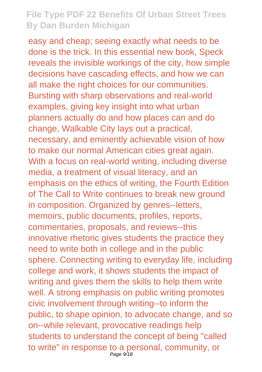easy and cheap; seeing exactly what needs to be done is the trick. In this essential new book, Speck reveals the invisible workings of the city, how simple decisions have cascading effects, and how we can all make the right choices for our communities. Bursting with sharp observations and real-world examples, giving key insight into what urban planners actually do and how places can and do change, Walkable City lays out a practical, necessary, and eminently achievable vision of how to make our normal American cities great again. With a focus on real-world writing, including diverse media, a treatment of visual literacy, and an emphasis on the ethics of writing, the Fourth Edition of The Call to Write continues to break new ground in composition. Organized by genres--letters, memoirs, public documents, profiles, reports, commentaries, proposals, and reviews--this innovative rhetoric gives students the practice they need to write both in college and in the public sphere. Connecting writing to everyday life, including college and work, it shows students the impact of writing and gives them the skills to help them write well. A strong emphasis on public writing promotes civic involvement through writing--to inform the public, to shape opinion, to advocate change, and so on--while relevant, provocative readings help students to understand the concept of being "called to write" in response to a personal, community, or Page 9/18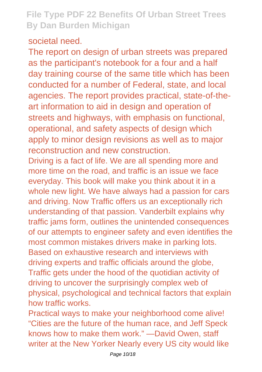#### societal need.

The report on design of urban streets was prepared as the participant's notebook for a four and a half day training course of the same title which has been conducted for a number of Federal, state, and local agencies. The report provides practical, state-of-theart information to aid in design and operation of streets and highways, with emphasis on functional, operational, and safety aspects of design which apply to minor design revisions as well as to major reconstruction and new construction.

Driving is a fact of life. We are all spending more and more time on the road, and traffic is an issue we face everyday. This book will make you think about it in a whole new light. We have always had a passion for cars and driving. Now Traffic offers us an exceptionally rich understanding of that passion. Vanderbilt explains why traffic jams form, outlines the unintended consequences of our attempts to engineer safety and even identifies the most common mistakes drivers make in parking lots. Based on exhaustive research and interviews with driving experts and traffic officials around the globe, Traffic gets under the hood of the quotidian activity of driving to uncover the surprisingly complex web of physical, psychological and technical factors that explain how traffic works.

Practical ways to make your neighborhood come alive! "Cities are the future of the human race, and Jeff Speck knows how to make them work." —David Owen, staff writer at the New Yorker Nearly every US city would like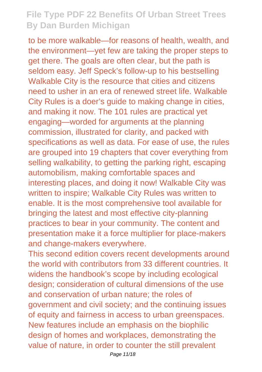to be more walkable—for reasons of health, wealth, and the environment—yet few are taking the proper steps to get there. The goals are often clear, but the path is seldom easy. Jeff Speck's follow-up to his bestselling Walkable City is the resource that cities and citizens need to usher in an era of renewed street life. Walkable City Rules is a doer's guide to making change in cities, and making it now. The 101 rules are practical yet engaging—worded for arguments at the planning commission, illustrated for clarity, and packed with specifications as well as data. For ease of use, the rules are grouped into 19 chapters that cover everything from selling walkability, to getting the parking right, escaping automobilism, making comfortable spaces and interesting places, and doing it now! Walkable City was written to inspire; Walkable City Rules was written to enable. It is the most comprehensive tool available for bringing the latest and most effective city-planning practices to bear in your community. The content and presentation make it a force multiplier for place-makers and change-makers everywhere.

This second edition covers recent developments around the world with contributors from 33 different countries. It widens the handbook's scope by including ecological design; consideration of cultural dimensions of the use and conservation of urban nature; the roles of government and civil society; and the continuing issues of equity and fairness in access to urban greenspaces. New features include an emphasis on the biophilic design of homes and workplaces, demonstrating the value of nature, in order to counter the still prevalent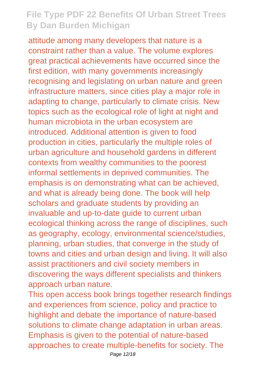attitude among many developers that nature is a constraint rather than a value. The volume explores great practical achievements have occurred since the first edition, with many governments increasingly recognising and legislating on urban nature and green infrastructure matters, since cities play a major role in adapting to change, particularly to climate crisis. New topics such as the ecological role of light at night and human microbiota in the urban ecosystem are introduced. Additional attention is given to food production in cities, particularly the multiple roles of urban agriculture and household gardens in different contexts from wealthy communities to the poorest informal settlements in deprived communities. The emphasis is on demonstrating what can be achieved, and what is already being done. The book will help scholars and graduate students by providing an invaluable and up-to-date guide to current urban ecological thinking across the range of disciplines, such as geography, ecology, environmental science/studies, planning, urban studies, that converge in the study of towns and cities and urban design and living. It will also assist practitioners and civil society members in discovering the ways different specialists and thinkers approach urban nature.

This open access book brings together research findings and experiences from science, policy and practice to highlight and debate the importance of nature-based solutions to climate change adaptation in urban areas. Emphasis is given to the potential of nature-based approaches to create multiple-benefits for society. The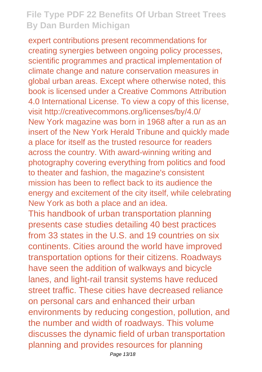expert contributions present recommendations for creating synergies between ongoing policy processes, scientific programmes and practical implementation of climate change and nature conservation measures in global urban areas. Except where otherwise noted, this book is licensed under a Creative Commons Attribution 4.0 International License. To view a copy of this license, visit http://creativecommons.org/licenses/by/4.0/ New York magazine was born in 1968 after a run as an insert of the New York Herald Tribune and quickly made a place for itself as the trusted resource for readers across the country. With award-winning writing and photography covering everything from politics and food to theater and fashion, the magazine's consistent mission has been to reflect back to its audience the energy and excitement of the city itself, while celebrating New York as both a place and an idea.

This handbook of urban transportation planning presents case studies detailing 40 best practices from 33 states in the U.S. and 19 countries on six continents. Cities around the world have improved transportation options for their citizens. Roadways have seen the addition of walkways and bicycle lanes, and light-rail transit systems have reduced street traffic. These cities have decreased reliance on personal cars and enhanced their urban environments by reducing congestion, pollution, and the number and width of roadways. This volume discusses the dynamic field of urban transportation planning and provides resources for planning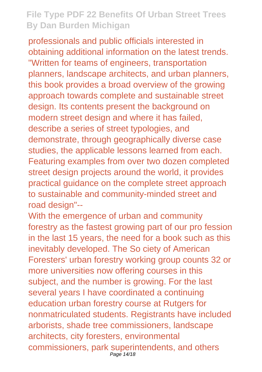professionals and public officials interested in obtaining additional information on the latest trends. "Written for teams of engineers, transportation planners, landscape architects, and urban planners, this book provides a broad overview of the growing approach towards complete and sustainable street design. Its contents present the background on modern street design and where it has failed, describe a series of street typologies, and demonstrate, through geographically diverse case studies, the applicable lessons learned from each. Featuring examples from over two dozen completed street design projects around the world, it provides practical guidance on the complete street approach to sustainable and community-minded street and road design"--

With the emergence of urban and community forestry as the fastest growing part of our pro fession in the last 15 years, the need for a book such as this inevitably developed. The So ciety of American Foresters' urban forestry working group counts 32 or more universities now offering courses in this subject, and the number is growing. For the last several years I have coordinated a continuing education urban forestry course at Rutgers for nonmatriculated students. Registrants have included arborists, shade tree commissioners, landscape architects, city foresters, environmental commissioners, park superintendents, and others Page 14/18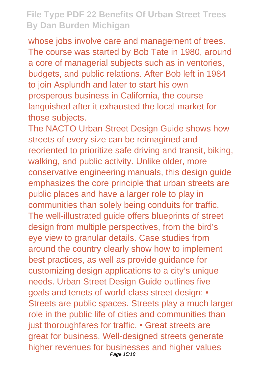whose jobs involve care and management of trees. The course was started by Bob Tate in 1980, around a core of managerial subjects such as in ventories, budgets, and public relations. After Bob left in 1984 to join Asplundh and later to start his own prosperous business in California, the course languished after it exhausted the local market for those subjects.

The NACTO Urban Street Design Guide shows how streets of every size can be reimagined and reoriented to prioritize safe driving and transit, biking, walking, and public activity. Unlike older, more conservative engineering manuals, this design guide emphasizes the core principle that urban streets are public places and have a larger role to play in communities than solely being conduits for traffic. The well-illustrated guide offers blueprints of street design from multiple perspectives, from the bird's eye view to granular details. Case studies from around the country clearly show how to implement best practices, as well as provide guidance for customizing design applications to a city's unique needs. Urban Street Design Guide outlines five goals and tenets of world-class street design: • Streets are public spaces. Streets play a much larger role in the public life of cities and communities than just thoroughfares for traffic. • Great streets are great for business. Well-designed streets generate higher revenues for businesses and higher values Page 15/18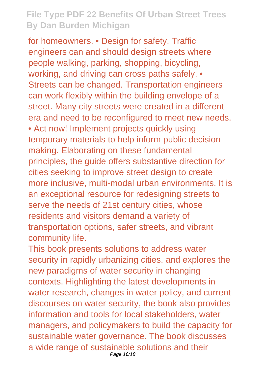for homeowners. • Design for safety. Traffic engineers can and should design streets where people walking, parking, shopping, bicycling, working, and driving can cross paths safely. • Streets can be changed. Transportation engineers can work flexibly within the building envelope of a street. Many city streets were created in a different era and need to be reconfigured to meet new needs. • Act now! Implement projects quickly using temporary materials to help inform public decision making. Elaborating on these fundamental principles, the guide offers substantive direction for cities seeking to improve street design to create more inclusive, multi-modal urban environments. It is an exceptional resource for redesigning streets to serve the needs of 21st century cities, whose residents and visitors demand a variety of transportation options, safer streets, and vibrant community life.

This book presents solutions to address water security in rapidly urbanizing cities, and explores the new paradigms of water security in changing contexts. Highlighting the latest developments in water research, changes in water policy, and current discourses on water security, the book also provides information and tools for local stakeholders, water managers, and policymakers to build the capacity for sustainable water governance. The book discusses a wide range of sustainable solutions and their Page 16/18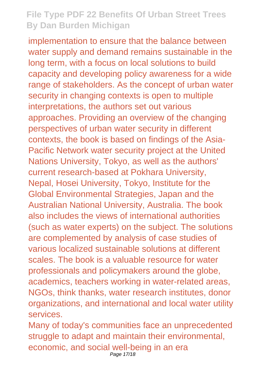implementation to ensure that the balance between water supply and demand remains sustainable in the long term, with a focus on local solutions to build capacity and developing policy awareness for a wide range of stakeholders. As the concept of urban water security in changing contexts is open to multiple interpretations, the authors set out various approaches. Providing an overview of the changing perspectives of urban water security in different contexts, the book is based on findings of the Asia-Pacific Network water security project at the United Nations University, Tokyo, as well as the authors' current research-based at Pokhara University, Nepal, Hosei University, Tokyo, Institute for the Global Environmental Strategies, Japan and the Australian National University, Australia. The book also includes the views of international authorities (such as water experts) on the subject. The solutions are complemented by analysis of case studies of various localized sustainable solutions at different scales. The book is a valuable resource for water professionals and policymakers around the globe, academics, teachers working in water-related areas, NGOs, think thanks, water research institutes, donor organizations, and international and local water utility services.

Many of today's communities face an unprecedented struggle to adapt and maintain their environmental, economic, and social well-being in an era Page 17/18